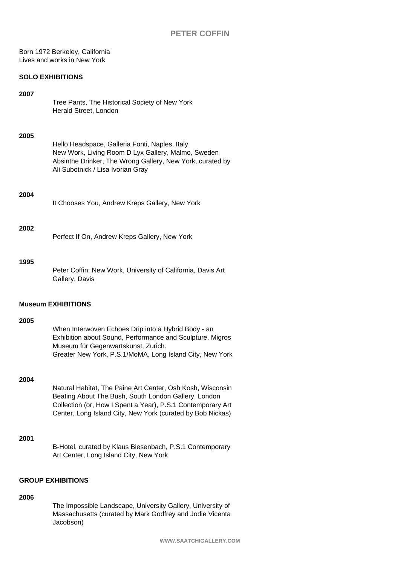Born 1972 Berkeley, California Lives and works in New York

## **SOLO EXHIBITIONS**

### **2007**

Tree Pants, The Historical Society of New York Herald Street, London

#### **2005**

Hello Headspace, Galleria Fonti, Naples, Italy New Work, Living Room D Lyx Gallery, Malmo, Sweden Absinthe Drinker, The Wrong Gallery, New York, curated by Ali Subotnick / Lisa Ivorian Gray

#### **2004**

It Chooses You, Andrew Kreps Gallery, New York

### **2002**

Perfect If On, Andrew Kreps Gallery, New York

### **1995**

Peter Coffin: New Work, University of California, Davis Art Gallery, Davis

#### **Museum EXHIBITIONS**

### **2005**

### **2004**

| Natural Habitat, The Paine Art Center, Osh Kosh, Wisconsin  |
|-------------------------------------------------------------|
| Beating About The Bush, South London Gallery, London        |
| Collection (or, How I Spent a Year), P.S.1 Contemporary Art |
| Center, Long Island City, New York (curated by Bob Nickas)  |

## **2001**

B-Hotel, curated by Klaus Biesenbach, P.S.1 Contemporary Art Center, Long Island City, New York

## **GROUP EXHIBITIONS**

## **2006**

The Impossible Landscape, University Gallery, University of Massachusetts (curated by Mark Godfrey and Jodie Vicenta Jacobson)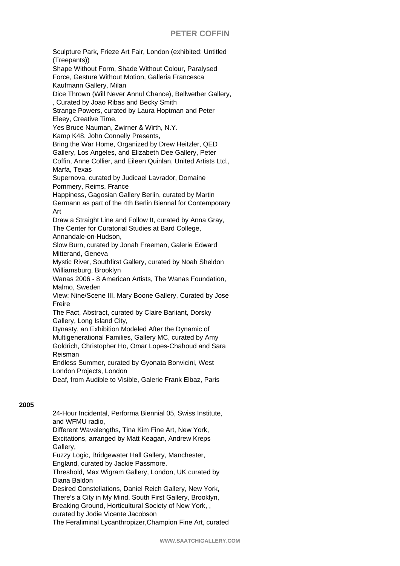## **PETER COFFIN**

Sculpture Park, Frieze Art Fair, London (exhibited: Untitled (Treepants)) Shape Without Form, Shade Without Colour, Paralysed Force, Gesture Without Motion, Galleria Francesca Kaufmann Gallery, Milan Dice Thrown (Will Never Annul Chance), Bellwether Gallery, , Curated by Joao Ribas and Becky Smith Strange Powers, curated by Laura Hoptman and Peter Eleey, Creative Time, Yes Bruce Nauman, Zwirner & Wirth, N.Y. Kamp K48, John Connelly Presents, Bring the War Home, Organized by Drew Heitzler, QED Gallery, Los Angeles, and Elizabeth Dee Gallery, Peter Coffin, Anne Collier, and Eileen Quinlan, United Artists Ltd., Marfa, Texas Supernova, curated by Judicael Lavrador, Domaine Pommery, Reims, France Happiness, Gagosian Gallery Berlin, curated by Martin Germann as part of the 4th Berlin Biennal for Contemporary Art Draw a Straight Line and Follow It, curated by Anna Gray, The Center for Curatorial Studies at Bard College, Annandale-on-Hudson, Slow Burn, curated by Jonah Freeman, Galerie Edward Mitterand, Geneva Mystic River, Southfirst Gallery, curated by Noah Sheldon Williamsburg, Brooklyn Wanas 2006 - 8 American Artists, The Wanas Foundation, Malmo, Sweden View: Nine/Scene III, Mary Boone Gallery, Curated by Jose Freire The Fact, Abstract, curated by Claire Barliant, Dorsky Gallery, Long Island City, Dynasty, an Exhibition Modeled After the Dynamic of Multigenerational Families, Gallery MC, curated by Amy Goldrich, Christopher Ho, Omar Lopes-Chahoud and Sara Reisman Endless Summer, curated by Gyonata Bonvicini, West London Projects, London Deaf, from Audible to Visible, Galerie Frank Elbaz, Paris

# **2005**

24-Hour Incidental, Performa Biennial 05, Swiss Institute, and WFMU radio, Different Wavelengths, Tina Kim Fine Art, New York, Excitations, arranged by Matt Keagan, Andrew Kreps Gallery, Fuzzy Logic, Bridgewater Hall Gallery, Manchester, England, curated by Jackie Passmore. Threshold, Max Wigram Gallery, London, UK curated by Diana Baldon Desired Constellations, Daniel Reich Gallery, New York, There's a City in My Mind, South First Gallery, Brooklyn, Breaking Ground, Horticultural Society of New York, , curated by Jodie Vicente Jacobson

The Feraliminal Lycanthropizer,Champion Fine Art, curated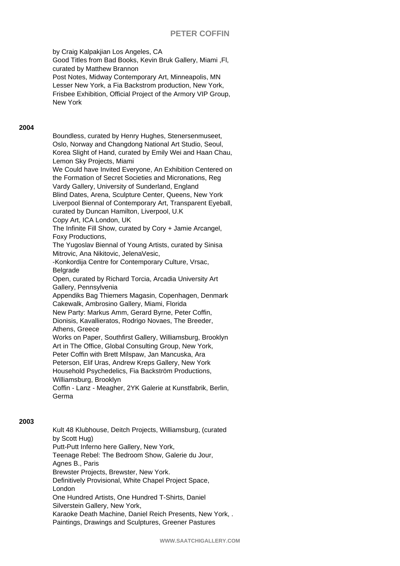## **PETER COFFIN**

by Craig Kalpakjian Los Angeles, CA Good Titles from Bad Books, Kevin Bruk Gallery, Miami ,Fl, curated by Matthew Brannon Post Notes, Midway Contemporary Art, Minneapolis, MN Lesser New York, a Fia Backstrom production, New York, Frisbee Exhibition, Official Project of the Armory VIP Group, New York

### **2004**

Boundless, curated by Henry Hughes, Stenersenmuseet, Oslo, Norway and Changdong National Art Studio, Seoul, Korea Slight of Hand, curated by Emily Wei and Haan Chau, Lemon Sky Projects, Miami We Could have Invited Everyone, An Exhibition Centered on the Formation of Secret Societies and Micronations, Reg Vardy Gallery, University of Sunderland, England Blind Dates, Arena, Sculpture Center, Queens, New York Liverpool Biennal of Contemporary Art, Transparent Eyeball, curated by Duncan Hamilton, Liverpool, U.K Copy Art, ICA London, UK The Infinite Fill Show, curated by Cory + Jamie Arcangel, Foxy Productions, The Yugoslav Biennal of Young Artists, curated by Sinisa Mitrovic, Ana Nikitovic, JelenaVesic, -Konkordija Centre for Contemporary Culture, Vrsac, Belgrade Open, curated by Richard Torcia, Arcadia University Art Gallery, Pennsylvenia Appendiks Bag Thiemers Magasin, Copenhagen, Denmark Cakewalk, Ambrosino Gallery, Miami, Florida New Party: Markus Amm, Gerard Byrne, Peter Coffin, Dionisis, Kavallieratos, Rodrigo Novaes, The Breeder, Athens, Greece Works on Paper, Southfirst Gallery, Williamsburg, Brooklyn Art in The Office, Global Consulting Group, New York, Peter Coffin with Brett Milspaw, Jan Mancuska, Ara Peterson, Elif Uras, Andrew Kreps Gallery, New York Household Psychedelics, Fia Backström Productions, Williamsburg, Brooklyn Coffin - Lanz - Meagher, 2YK Galerie at Kunstfabrik, Berlin, Germa

### **2003**

Kult 48 Klubhouse, Deitch Projects, Williamsburg, (curated by Scott Hug) Putt-Putt Inferno here Gallery, New York, Teenage Rebel: The Bedroom Show, Galerie du Jour, Agnes B., Paris Brewster Projects, Brewster, New York. Definitively Provisional, White Chapel Project Space, London One Hundred Artists, One Hundred T-Shirts, Daniel Silverstein Gallery, New York, Karaoke Death Machine, Daniel Reich Presents, New York, . Paintings, Drawings and Sculptures, Greener Pastures